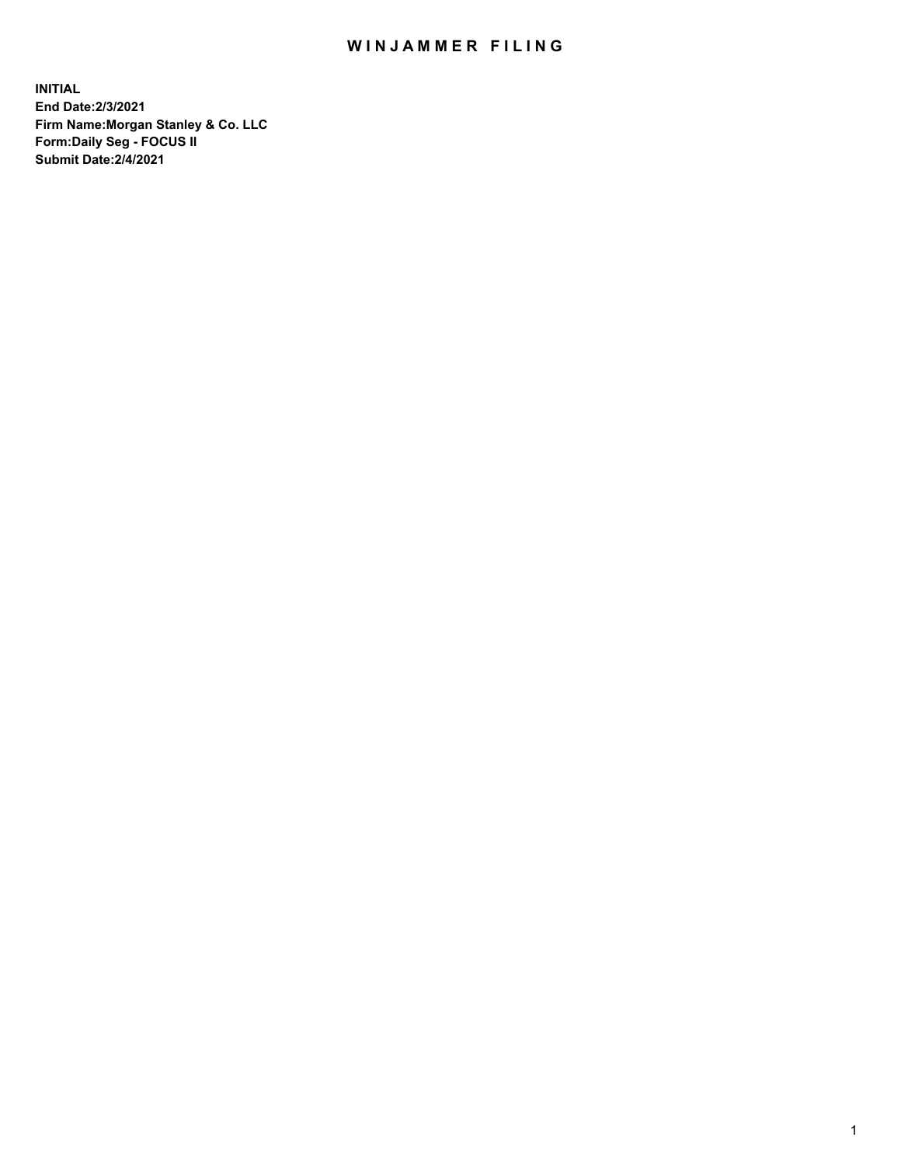## WIN JAMMER FILING

**INITIAL End Date:2/3/2021 Firm Name:Morgan Stanley & Co. LLC Form:Daily Seg - FOCUS II Submit Date:2/4/2021**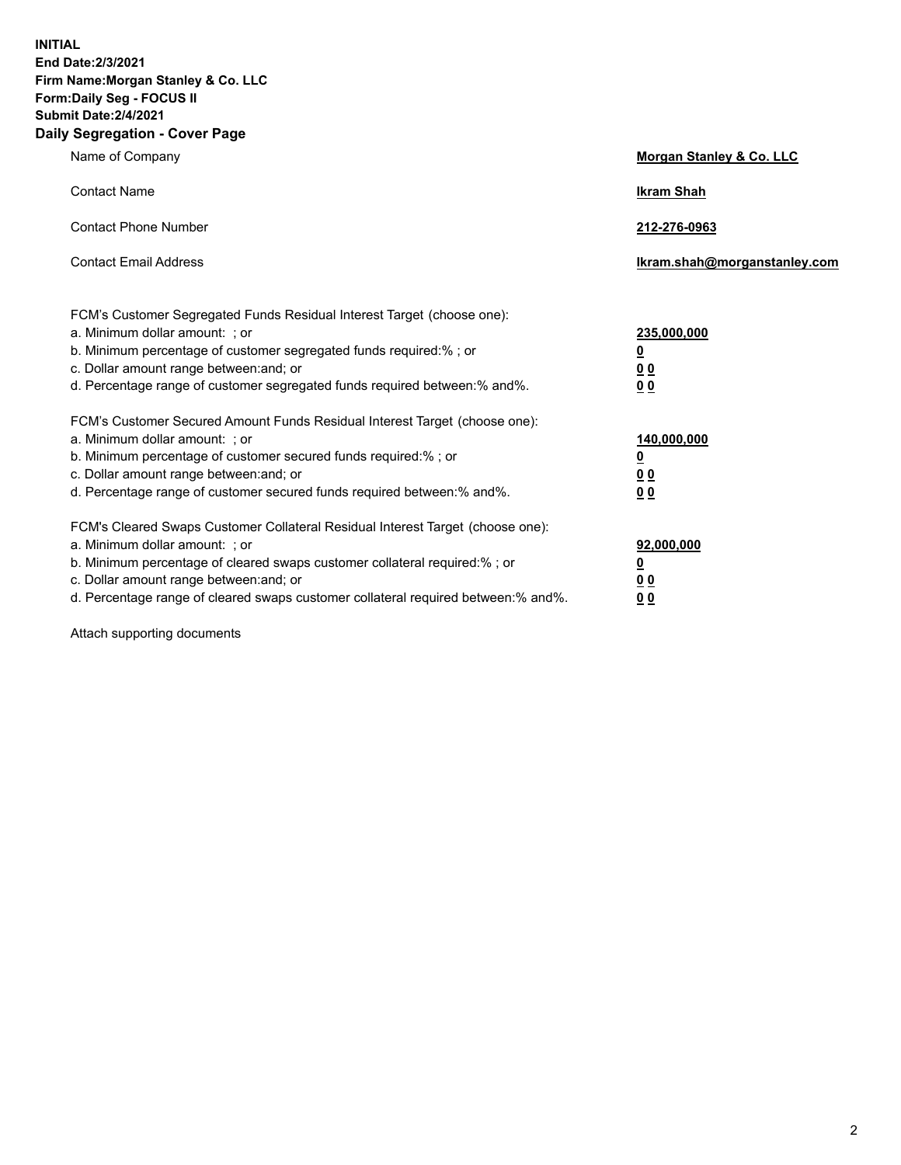**INITIAL End Date:2/3/2021 Firm Name:Morgan Stanley & Co. LLC Form:Daily Seg - FOCUS II Submit Date:2/4/2021 Daily Segregation - Cover Page**

| Name of Company                                                                                                                                                                                                                                                                                                                | <b>Morgan Stanley &amp; Co. LLC</b>                        |
|--------------------------------------------------------------------------------------------------------------------------------------------------------------------------------------------------------------------------------------------------------------------------------------------------------------------------------|------------------------------------------------------------|
| <b>Contact Name</b>                                                                                                                                                                                                                                                                                                            | <b>Ikram Shah</b>                                          |
| <b>Contact Phone Number</b>                                                                                                                                                                                                                                                                                                    | 212-276-0963                                               |
| <b>Contact Email Address</b>                                                                                                                                                                                                                                                                                                   | lkram.shah@morganstanley.com                               |
| FCM's Customer Segregated Funds Residual Interest Target (choose one):<br>a. Minimum dollar amount: ; or<br>b. Minimum percentage of customer segregated funds required:%; or<br>c. Dollar amount range between: and; or<br>d. Percentage range of customer segregated funds required between: % and %.                        | 235,000,000<br><u>0</u><br><u>00</u><br>0 <sup>0</sup>     |
| FCM's Customer Secured Amount Funds Residual Interest Target (choose one):<br>a. Minimum dollar amount: ; or<br>b. Minimum percentage of customer secured funds required:%; or<br>c. Dollar amount range between: and; or<br>d. Percentage range of customer secured funds required between: % and %.                          | 140,000,000<br><u>0</u><br><u>00</u><br>0 <sup>0</sup>     |
| FCM's Cleared Swaps Customer Collateral Residual Interest Target (choose one):<br>a. Minimum dollar amount: ; or<br>b. Minimum percentage of cleared swaps customer collateral required:% ; or<br>c. Dollar amount range between: and; or<br>d. Percentage range of cleared swaps customer collateral required between:% and%. | 92,000,000<br><u>0</u><br>0 <sup>0</sup><br>0 <sub>0</sub> |

Attach supporting documents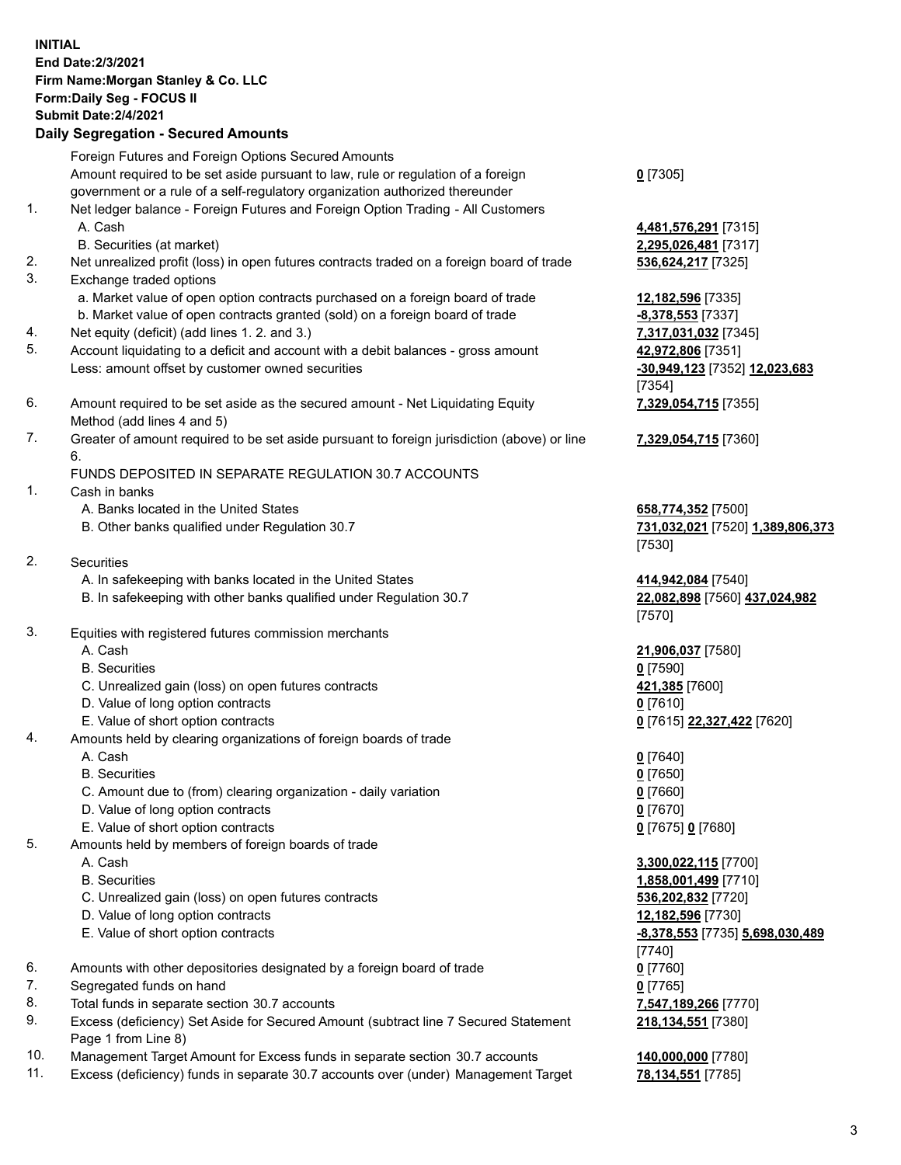## **INITIAL End Date:2/3/2021 Firm Name:Morgan Stanley & Co. LLC Form:Daily Seg - FOCUS II Submit Date:2/4/2021 Daily Segregation - Secured Amounts**

Foreign Futures and Foreign Options Secured Amounts Amount required to be set aside pursuant to law, rule or regulation of a foreign government or a rule of a self-regulatory organization authorized thereunder 1. Net ledger balance - Foreign Futures and Foreign Option Trading - All Customers A. Cash **4,481,576,291** [7315]

- 
- 2. Net unrealized profit (loss) in open futures contracts traded on a foreign board of trade **536,624,217** [7325]
- 3. Exchange traded options
	- a. Market value of open option contracts purchased on a foreign board of trade **12,182,596** [7335]
	- b. Market value of open contracts granted (sold) on a foreign board of trade **-8,378,553** [7337]
- 4. Net equity (deficit) (add lines 1. 2. and 3.) **7,317,031,032** [7345]
- 5. Account liquidating to a deficit and account with a debit balances gross amount **42,972,806** [7351] Less: amount offset by customer owned securities **-30,949,123** [7352] **12,023,683**
- 6. Amount required to be set aside as the secured amount Net Liquidating Equity Method (add lines 4 and 5)
- 7. Greater of amount required to be set aside pursuant to foreign jurisdiction (above) or line 6.

## FUNDS DEPOSITED IN SEPARATE REGULATION 30.7 ACCOUNTS

- 1. Cash in banks
	- A. Banks located in the United States **658,774,352** [7500]
	- B. Other banks qualified under Regulation 30.7 **731,032,021** [7520] **1,389,806,373**
- 2. Securities
	- A. In safekeeping with banks located in the United States **414,942,084** [7540]
	- B. In safekeeping with other banks qualified under Regulation 30.7 **22,082,898** [7560] **437,024,982**
- 3. Equities with registered futures commission merchants
	-
	- B. Securities **0** [7590]
	- C. Unrealized gain (loss) on open futures contracts **421,385** [7600]
	- D. Value of long option contracts **0** [7610]
	- E. Value of short option contracts **0** [7615] **22,327,422** [7620]
- 4. Amounts held by clearing organizations of foreign boards of trade
	- A. Cash **0** [7640]
	- B. Securities **0** [7650]
	- C. Amount due to (from) clearing organization daily variation **0** [7660]
	- D. Value of long option contracts **0** [7670]
	- E. Value of short option contracts **0** [7675] **0** [7680]
- 5. Amounts held by members of foreign boards of trade
	-
	-
	- C. Unrealized gain (loss) on open futures contracts **536,202,832** [7720]
	- D. Value of long option contracts **12,182,596** [7730]
	- E. Value of short option contracts **-8,378,553** [7735] **5,698,030,489**
- 6. Amounts with other depositories designated by a foreign board of trade **0** [7760]
- 7. Segregated funds on hand **0** [7765]
- 8. Total funds in separate section 30.7 accounts **7,547,189,266** [7770]
- 9. Excess (deficiency) Set Aside for Secured Amount (subtract line 7 Secured Statement Page 1 from Line 8)
- 10. Management Target Amount for Excess funds in separate section 30.7 accounts **140,000,000** [7780]
- 11. Excess (deficiency) funds in separate 30.7 accounts over (under) Management Target **78,134,551** [7785]

**0** [7305]

B. Securities (at market) **2,295,026,481** [7317]

[7354] **7,329,054,715** [7355]

**7,329,054,715** [7360]

[7530]

[7570]

A. Cash **21,906,037** [7580]

 A. Cash **3,300,022,115** [7700] B. Securities **1,858,001,499** [7710] [7740] **218,134,551** [7380]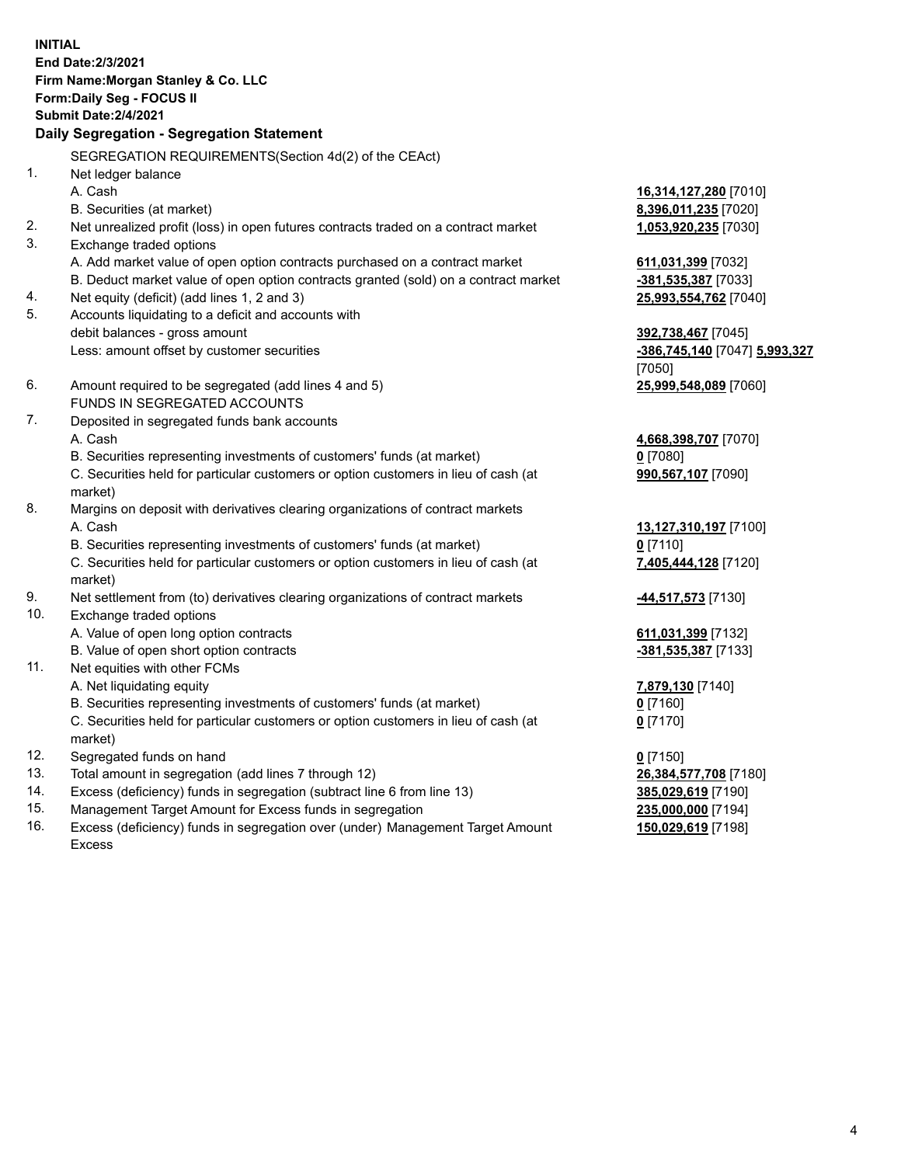**INITIAL End Date:2/3/2021 Firm Name:Morgan Stanley & Co. LLC Form:Daily Seg - FOCUS II Submit Date:2/4/2021 Daily Segregation - Segregation Statement** SEGREGATION REQUIREMENTS(Section 4d(2) of the CEAct) 1. Net ledger balance A. Cash **16,314,127,280** [7010] B. Securities (at market) **8,396,011,235** [7020] 2. Net unrealized profit (loss) in open futures contracts traded on a contract market **1,053,920,235** [7030] 3. Exchange traded options A. Add market value of open option contracts purchased on a contract market **611,031,399** [7032] B. Deduct market value of open option contracts granted (sold) on a contract market **-381,535,387** [7033] 4. Net equity (deficit) (add lines 1, 2 and 3) **25,993,554,762** [7040] 5. Accounts liquidating to a deficit and accounts with debit balances - gross amount **392,738,467** [7045] Less: amount offset by customer securities **-386,745,140** [7047] **5,993,327** [7050] 6. Amount required to be segregated (add lines 4 and 5) **25,999,548,089** [7060] FUNDS IN SEGREGATED ACCOUNTS 7. Deposited in segregated funds bank accounts A. Cash **4,668,398,707** [7070] B. Securities representing investments of customers' funds (at market) **0** [7080] C. Securities held for particular customers or option customers in lieu of cash (at market) **990,567,107** [7090] 8. Margins on deposit with derivatives clearing organizations of contract markets A. Cash **13,127,310,197** [7100] B. Securities representing investments of customers' funds (at market) **0** [7110] C. Securities held for particular customers or option customers in lieu of cash (at market) **7,405,444,128** [7120] 9. Net settlement from (to) derivatives clearing organizations of contract markets **-44,517,573** [7130] 10. Exchange traded options A. Value of open long option contracts **611,031,399** [7132] B. Value of open short option contracts **and the set of our original contracts -381,535,387** [7133] 11. Net equities with other FCMs A. Net liquidating equity **7,879,130** [7140] B. Securities representing investments of customers' funds (at market) **0** [7160] C. Securities held for particular customers or option customers in lieu of cash (at market) **0** [7170] 12. Segregated funds on hand **0** [7150] 13. Total amount in segregation (add lines 7 through 12) **26,384,577,708** [7180] 14. Excess (deficiency) funds in segregation (subtract line 6 from line 13) **385,029,619** [7190] 15. Management Target Amount for Excess funds in segregation **235,000,000** [7194]

16. Excess (deficiency) funds in segregation over (under) Management Target Amount Excess

**150,029,619** [7198]